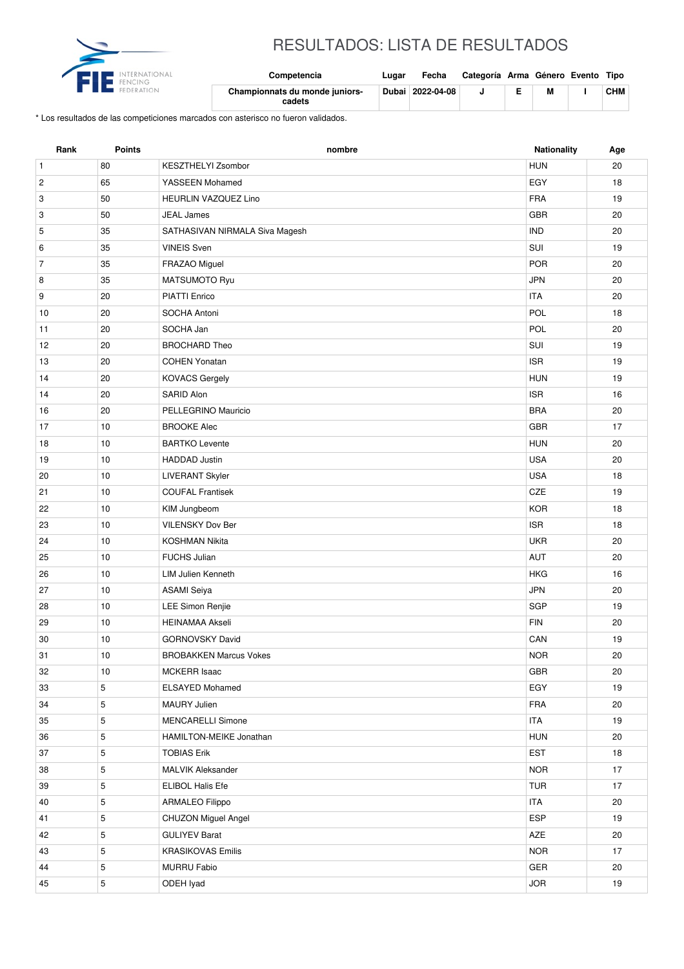

## RESULTADOS: LISTA DE RESULTADOS

| international<br>FENCING | Competencia                              | Lugar | Fecha            | Categoría Arma Género Evento Tipo |   |            |
|--------------------------|------------------------------------------|-------|------------------|-----------------------------------|---|------------|
| FEDERATION               | Championnats du monde juniors-<br>cadets |       | Dubai 2022-04-08 |                                   | M | <b>CHM</b> |

\* Los resultados de las competiciones marcados con asterisco no fueron validados.

| Rank           | <b>Points</b> | nombre                         | <b>Nationality</b> | Age    |
|----------------|---------------|--------------------------------|--------------------|--------|
| $\mathbf{1}$   | 80            | KESZTHELYI Zsombor             | <b>HUN</b>         | 20     |
| $\sqrt{2}$     | 65            | YASSEEN Mohamed                | EGY                | 18     |
| 3              | 50            | <b>HEURLIN VAZQUEZ Lino</b>    | <b>FRA</b>         | 19     |
| 3              | 50            | <b>JEAL James</b>              | <b>GBR</b>         | 20     |
| 5              | 35            | SATHASIVAN NIRMALA Siva Magesh | <b>IND</b>         | 20     |
| 6              | 35            | <b>VINEIS Sven</b>             | SUI                | 19     |
| $\overline{7}$ | 35            | FRAZAO Miguel                  | POR                | 20     |
| 8              | 35            | MATSUMOTO Ryu                  | <b>JPN</b>         | 20     |
| 9              | 20            | PIATTI Enrico                  | <b>ITA</b>         | 20     |
| 10             | 20            | SOCHA Antoni                   | POL                | 18     |
| 11             | 20            | SOCHA Jan                      | POL                | 20     |
| 12             | 20            | <b>BROCHARD Theo</b>           | SUI                | 19     |
| 13             | 20            | <b>COHEN Yonatan</b>           | <b>ISR</b>         | 19     |
| 14             | 20            | <b>KOVACS Gergely</b>          | <b>HUN</b>         | 19     |
| 14             | 20            | SARID Alon                     | <b>ISR</b>         | 16     |
| 16             | 20            | PELLEGRINO Mauricio            | <b>BRA</b>         | 20     |
| 17             | 10            | <b>BROOKE Alec</b>             | <b>GBR</b>         | 17     |
| 18             | 10            | <b>BARTKO Levente</b>          | <b>HUN</b>         | 20     |
| 19             | 10            | <b>HADDAD</b> Justin           | <b>USA</b>         | 20     |
| 20             | 10            | <b>LIVERANT Skyler</b>         | <b>USA</b>         | 18     |
| 21             | 10            | <b>COUFAL Frantisek</b>        | CZE                | 19     |
| 22             | 10            | KIM Jungbeom                   | <b>KOR</b>         | 18     |
| 23             | 10            | <b>VILENSKY Dov Ber</b>        | <b>ISR</b>         | 18     |
| 24             | 10            | <b>KOSHMAN Nikita</b>          | <b>UKR</b>         | 20     |
| 25             | 10            | <b>FUCHS Julian</b>            | AUT                | 20     |
| 26             | 10            | <b>LIM Julien Kenneth</b>      | <b>HKG</b>         | 16     |
| 27             | 10            | <b>ASAMI</b> Seiya             | <b>JPN</b>         | 20     |
| 28             | 10            | LEE Simon Renjie               | <b>SGP</b>         | 19     |
| 29             | 10            | <b>HEINAMAA Akseli</b>         | <b>FIN</b>         | 20     |
| 30             | 10            | <b>GORNOVSKY David</b>         | CAN                | 19     |
| 31             | $10$          | <b>BROBAKKEN Marcus Vokes</b>  | $\sf{NOR}$         | $20\,$ |
| 32             | 10            | <b>MCKERR Isaac</b>            | GBR                | 20     |
| 33             | 5             | <b>ELSAYED Mohamed</b>         | EGY                | 19     |
| 34             | $\,$ 5 $\,$   | MAURY Julien                   | <b>FRA</b>         | 20     |
| 35             | 5             | <b>MENCARELLI Simone</b>       | <b>ITA</b>         | 19     |
| 36             | 5             | HAMILTON-MEIKE Jonathan        | <b>HUN</b>         | 20     |
| 37             | $\,$ 5 $\,$   | <b>TOBIAS Erik</b>             | EST                | 18     |
| 38             | 5             | MALVIK Aleksander              | <b>NOR</b>         | 17     |
| 39             | $\,$ 5 $\,$   | ELIBOL Halis Efe               | <b>TUR</b>         | 17     |
| 40             | $\,$ 5 $\,$   | <b>ARMALEO Filippo</b>         | <b>ITA</b>         | 20     |
| 41             | 5             | CHUZON Miguel Angel            | <b>ESP</b>         | 19     |
| 42             | $\,$ 5 $\,$   | <b>GULIYEV Barat</b>           | AZE                | 20     |
| 43             | 5             | <b>KRASIKOVAS Emilis</b>       | <b>NOR</b>         | 17     |
| 44             | 5             | <b>MURRU Fabio</b>             | GER                | 20     |
| 45             | 5             | ODEH lyad                      | <b>JOR</b>         | 19     |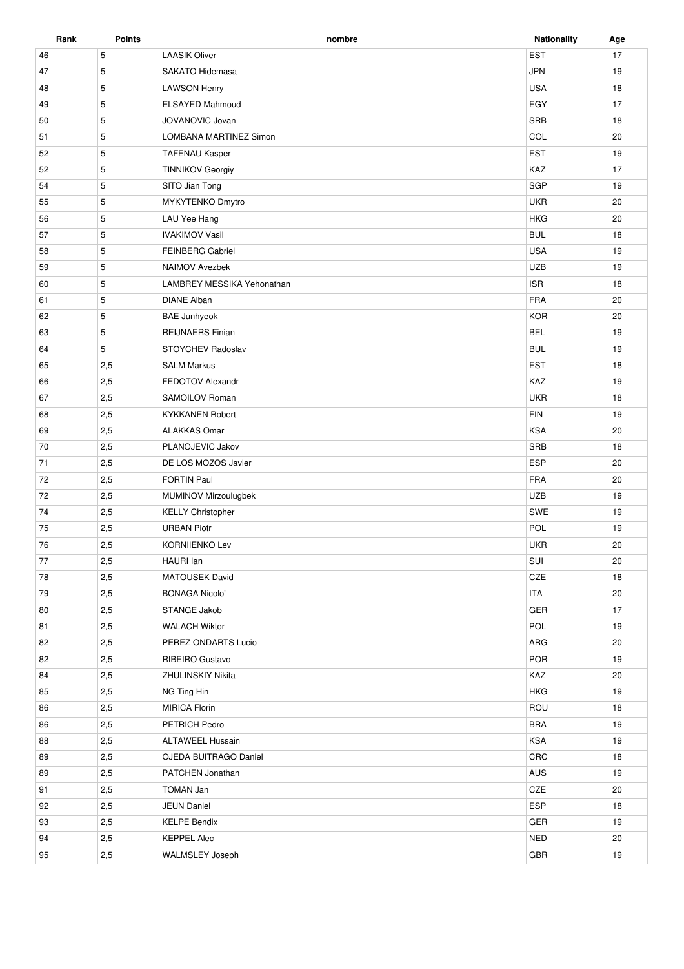| Rank | <b>Points</b> | nombre                     | <b>Nationality</b> | Age |
|------|---------------|----------------------------|--------------------|-----|
| 46   | 5             | <b>LAASIK Oliver</b>       | <b>EST</b>         | 17  |
| 47   | 5             | SAKATO Hidemasa            | <b>JPN</b>         | 19  |
| 48   | 5             | <b>LAWSON Henry</b>        | <b>USA</b>         | 18  |
| 49   | 5             | <b>ELSAYED Mahmoud</b>     | EGY                | 17  |
| 50   | 5             | JOVANOVIC Jovan            | SRB                | 18  |
| 51   | 5             | LOMBANA MARTINEZ Simon     | COL                | 20  |
| 52   | 5             | <b>TAFENAU Kasper</b>      | EST                | 19  |
| 52   | 5             | <b>TINNIKOV Georgiy</b>    | KAZ                | 17  |
| 54   | 5             | SITO Jian Tong             | SGP                | 19  |
| 55   | 5             | MYKYTENKO Dmytro           | <b>UKR</b>         | 20  |
| 56   | 5             | LAU Yee Hang               | <b>HKG</b>         | 20  |
| 57   | 5             | <b>IVAKIMOV Vasil</b>      | <b>BUL</b>         | 18  |
| 58   | 5             | <b>FEINBERG Gabriel</b>    | <b>USA</b>         | 19  |
| 59   | 5             | <b>NAIMOV Avezbek</b>      | <b>UZB</b>         | 19  |
| 60   | 5             | LAMBREY MESSIKA Yehonathan | <b>ISR</b>         | 18  |
| 61   | 5             | <b>DIANE Alban</b>         | <b>FRA</b>         | 20  |
| 62   | 5             | <b>BAE Junhyeok</b>        | <b>KOR</b>         | 20  |
| 63   | 5             | <b>REIJNAERS Finian</b>    | <b>BEL</b>         | 19  |
| 64   | 5             | STOYCHEV Radoslav          | <b>BUL</b>         | 19  |
| 65   | 2,5           | <b>SALM Markus</b>         | <b>EST</b>         | 18  |
| 66   | 2,5           | FEDOTOV Alexandr           | KAZ                | 19  |
| 67   | 2,5           | SAMOILOV Roman             | <b>UKR</b>         | 18  |
| 68   | 2,5           | <b>KYKKANEN Robert</b>     | <b>FIN</b>         | 19  |
| 69   | 2,5           | <b>ALAKKAS Omar</b>        | <b>KSA</b>         | 20  |
| 70   | 2,5           | PLANOJEVIC Jakov           | SRB                | 18  |
| 71   | 2,5           | DE LOS MOZOS Javier        | ESP                | 20  |
| 72   | 2,5           | <b>FORTIN Paul</b>         | <b>FRA</b>         | 20  |
| 72   | 2,5           | MUMINOV Mirzoulugbek       | <b>UZB</b>         | 19  |
| 74   | 2,5           | <b>KELLY Christopher</b>   | <b>SWE</b>         | 19  |
| 75   | 2,5           | <b>URBAN Piotr</b>         | POL                | 19  |
| 76   | 2,5           | <b>KORNIIENKO Lev</b>      | <b>UKR</b>         | 20  |
| 77   | 2,5           | HAURI lan                  | SUI                | 20  |
| 78   | 2,5           | <b>MATOUSEK David</b>      | CZE                | 18  |
| 79   | 2,5           | <b>BONAGA Nicolo'</b>      | <b>ITA</b>         | 20  |
| 80   | 2,5           | STANGE Jakob               | GER                | 17  |
| 81   | 2,5           | <b>WALACH Wiktor</b>       | POL                | 19  |
| 82   | 2,5           | PEREZ ONDARTS Lucio        | ARG                | 20  |
| 82   | 2,5           | RIBEIRO Gustavo            | POR                | 19  |
| 84   | 2,5           | <b>ZHULINSKIY Nikita</b>   | KAZ                | 20  |
| 85   | 2,5           | NG Ting Hin                | <b>HKG</b>         | 19  |
| 86   | 2,5           | <b>MIRICA Florin</b>       | ROU                | 18  |
| 86   | 2,5           | PETRICH Pedro              | <b>BRA</b>         | 19  |
| 88   | 2,5           | <b>ALTAWEEL Hussain</b>    | KSA                | 19  |
| 89   | 2,5           | OJEDA BUITRAGO Daniel      | C <sub>RC</sub>    | 18  |
| 89   | 2,5           | PATCHEN Jonathan           | AUS                | 19  |
| 91   | 2,5           | TOMAN Jan                  | CZE                | 20  |
| 92   | 2,5           | <b>JEUN Daniel</b>         | ESP                | 18  |
| 93   | 2,5           | <b>KELPE Bendix</b>        | GER                | 19  |
| 94   | 2,5           | <b>KEPPEL Alec</b>         | <b>NED</b>         | 20  |
|      |               |                            |                    |     |
| 95   | 2,5           | <b>WALMSLEY Joseph</b>     | <b>GBR</b>         | 19  |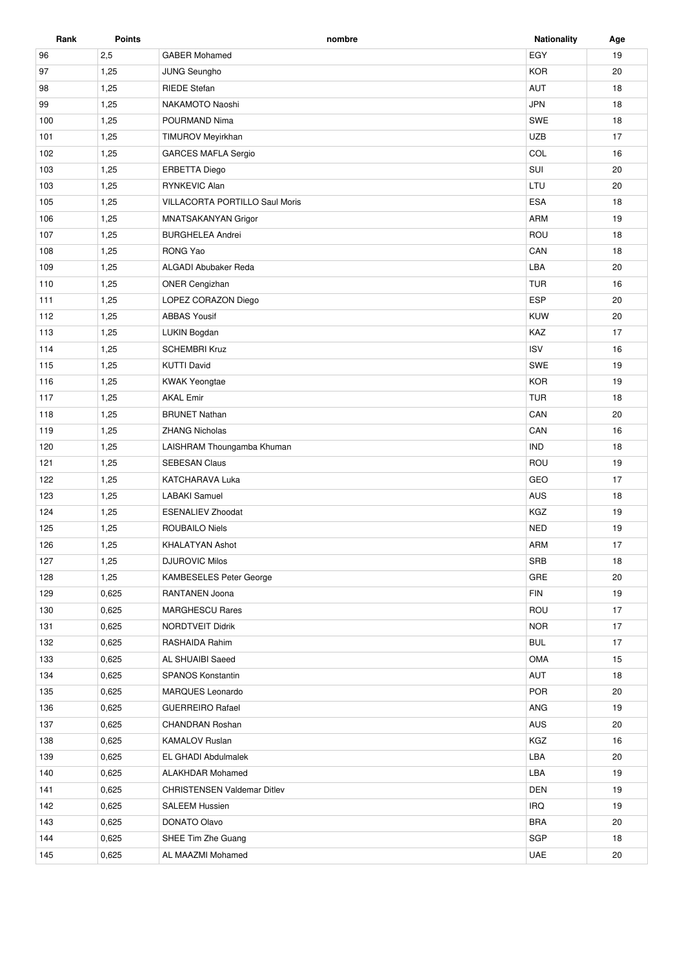| Rank | <b>Points</b> | nombre                                | <b>Nationality</b> | Age |
|------|---------------|---------------------------------------|--------------------|-----|
| 96   | 2,5           | <b>GABER Mohamed</b>                  | EGY                | 19  |
| 97   | 1,25          | <b>JUNG Seungho</b>                   | <b>KOR</b>         | 20  |
| 98   | 1,25          | <b>RIEDE Stefan</b>                   | <b>AUT</b>         | 18  |
| 99   | 1,25          | NAKAMOTO Naoshi                       | <b>JPN</b>         | 18  |
| 100  | 1,25          | POURMAND Nima                         | <b>SWE</b>         | 18  |
| 101  | 1,25          | TIMUROV Meyirkhan                     | <b>UZB</b>         | 17  |
| 102  | 1,25          | <b>GARCES MAFLA Sergio</b>            | COL                | 16  |
| 103  | 1,25          | <b>ERBETTA Diego</b>                  | SUI                | 20  |
| 103  | 1,25          | RYNKEVIC Alan                         | LTU                | 20  |
| 105  | 1,25          | <b>VILLACORTA PORTILLO Saul Moris</b> | <b>ESA</b>         | 18  |
| 106  | 1,25          | MNATSAKANYAN Grigor                   | <b>ARM</b>         | 19  |
| 107  | 1,25          | <b>BURGHELEA Andrei</b>               | ROU                | 18  |
| 108  | 1,25          | RONG Yao                              | CAN                | 18  |
| 109  | 1,25          | ALGADI Abubaker Reda                  | LBA                | 20  |
| 110  | 1,25          | <b>ONER Cengizhan</b>                 | <b>TUR</b>         | 16  |
| 111  | 1,25          | LOPEZ CORAZON Diego                   | <b>ESP</b>         | 20  |
| 112  | 1,25          | <b>ABBAS Yousif</b>                   | <b>KUW</b>         | 20  |
| 113  | 1,25          | LUKIN Bogdan                          | KAZ                | 17  |
| 114  | 1,25          | <b>SCHEMBRI Kruz</b>                  | <b>ISV</b>         | 16  |
| 115  | 1,25          | <b>KUTTI David</b>                    | SWE                | 19  |
| 116  | 1,25          | <b>KWAK Yeongtae</b>                  | <b>KOR</b>         | 19  |
| 117  | 1,25          | <b>AKAL Emir</b>                      | <b>TUR</b>         | 18  |
| 118  | 1,25          | <b>BRUNET Nathan</b>                  | CAN                | 20  |
| 119  | 1,25          | <b>ZHANG Nicholas</b>                 | CAN                | 16  |
| 120  | 1,25          | LAISHRAM Thoungamba Khuman            | <b>IND</b>         | 18  |
| 121  | 1,25          | <b>SEBESAN Claus</b>                  | ROU                | 19  |
| 122  | 1,25          | KATCHARAVA Luka                       | GEO                | 17  |
| 123  | 1,25          | <b>LABAKI</b> Samuel                  | <b>AUS</b>         | 18  |
| 124  | 1,25          | <b>ESENALIEV Zhoodat</b>              | KGZ                | 19  |
| 125  | 1,25          | <b>ROUBAILO Niels</b>                 | <b>NED</b>         | 19  |
| 126  | 1,25          | <b>KHALATYAN Ashot</b>                | <b>ARM</b>         | 17  |
| 127  | 1,25          | <b>DJUROVIC Milos</b>                 | <b>SRB</b>         | 18  |
| 128  | 1,25          | <b>KAMBESELES Peter George</b>        | GRE                | 20  |
| 129  | 0,625         | RANTANEN Joona                        | <b>FIN</b>         | 19  |
| 130  | 0,625         | <b>MARGHESCU Rares</b>                | ROU                | 17  |
| 131  | 0,625         | NORDTVEIT Didrik                      | <b>NOR</b>         | 17  |
| 132  | 0,625         | RASHAIDA Rahim                        | <b>BUL</b>         | 17  |
| 133  | 0,625         | AL SHUAIBI Saeed                      | OMA                | 15  |
| 134  | 0,625         | SPANOS Konstantin                     | AUT                | 18  |
| 135  | 0,625         | MARQUES Leonardo                      | <b>POR</b>         | 20  |
| 136  | 0,625         | <b>GUERREIRO Rafael</b>               | <b>ANG</b>         | 19  |
| 137  | 0,625         | <b>CHANDRAN Roshan</b>                | AUS                | 20  |
| 138  | 0,625         | <b>KAMALOV Ruslan</b>                 | KGZ                | 16  |
| 139  | 0,625         | EL GHADI Abdulmalek                   | LBA                | 20  |
| 140  | 0,625         | <b>ALAKHDAR Mohamed</b>               | LBA                | 19  |
| 141  | 0,625         | <b>CHRISTENSEN Valdemar Ditlev</b>    | <b>DEN</b>         | 19  |
| 142  | 0,625         | <b>SALEEM Hussien</b>                 | <b>IRQ</b>         | 19  |
| 143  | 0,625         | DONATO Olavo                          | <b>BRA</b>         | 20  |
| 144  | 0,625         | SHEE Tim Zhe Guang                    | SGP                | 18  |
| 145  | 0,625         | AL MAAZMI Mohamed                     | <b>UAE</b>         | 20  |
|      |               |                                       |                    |     |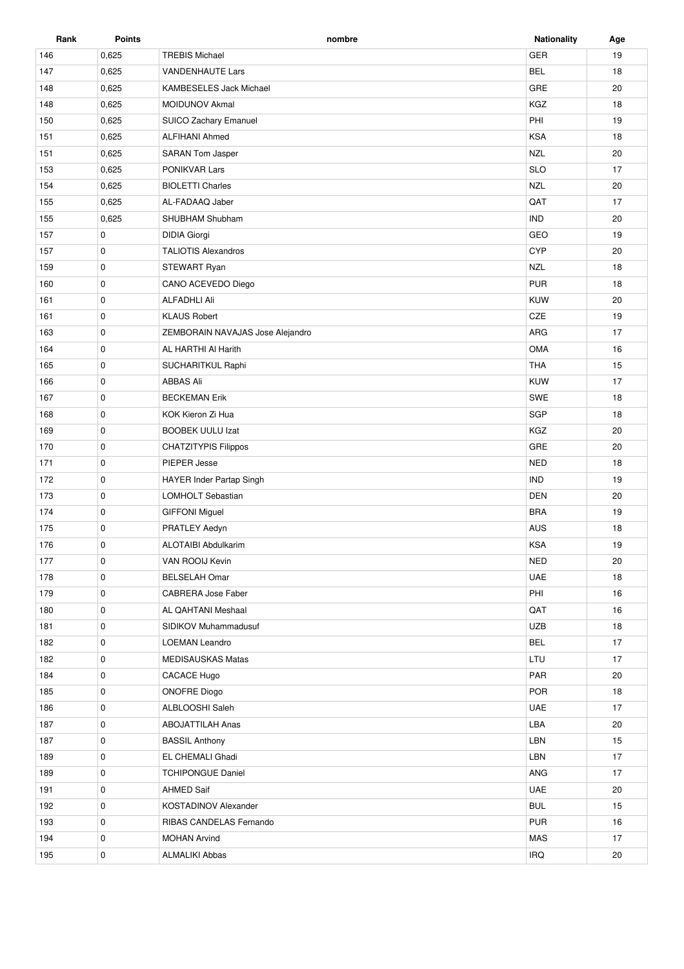| Rank | <b>Points</b> | nombre                           | <b>Nationality</b> | Age |
|------|---------------|----------------------------------|--------------------|-----|
| 146  | 0,625         | <b>TREBIS Michael</b>            | <b>GER</b>         | 19  |
| 147  | 0,625         | <b>VANDENHAUTE Lars</b>          | <b>BEL</b>         | 18  |
| 148  | 0,625         | <b>KAMBESELES Jack Michael</b>   | GRE                | 20  |
| 148  | 0,625         | <b>MOIDUNOV Akmal</b>            | KGZ                | 18  |
| 150  | 0,625         | SUICO Zachary Emanuel            | PHI                | 19  |
| 151  | 0,625         | <b>ALFIHANI Ahmed</b>            | <b>KSA</b>         | 18  |
| 151  | 0,625         | <b>SARAN Tom Jasper</b>          | <b>NZL</b>         | 20  |
| 153  | 0,625         | <b>PONIKVAR Lars</b>             | <b>SLO</b>         | 17  |
| 154  | 0,625         | <b>BIOLETTI Charles</b>          | <b>NZL</b>         | 20  |
| 155  | 0,625         | AL-FADAAQ Jaber                  | QAT                | 17  |
| 155  | 0,625         | SHUBHAM Shubham                  | <b>IND</b>         | 20  |
| 157  | 0             | <b>DIDIA Giorgi</b>              | GEO                | 19  |
| 157  | 0             | <b>TALIOTIS Alexandros</b>       | <b>CYP</b>         | 20  |
| 159  | 0             | STEWART Ryan                     | <b>NZL</b>         | 18  |
| 160  | 0             | CANO ACEVEDO Diego               | <b>PUR</b>         | 18  |
| 161  | 0             | <b>ALFADHLI Ali</b>              | <b>KUW</b>         | 20  |
| 161  | 0             | <b>KLAUS Robert</b>              | CZE                | 19  |
| 163  | $\pmb{0}$     | ZEMBORAIN NAVAJAS Jose Alejandro | ARG                | 17  |
| 164  | 0             | AL HARTHI AI Harith              | <b>OMA</b>         | 16  |
| 165  | 0             | SUCHARITKUL Raphi                | <b>THA</b>         | 15  |
| 166  | 0             | <b>ABBAS Ali</b>                 | KUW                | 17  |
| 167  | 0             | <b>BECKEMAN Erik</b>             | SWE                | 18  |
| 168  | 0             | KOK Kieron Zi Hua                | SGP                | 18  |
| 169  | 0             | <b>BOOBEK UULU Izat</b>          | KGZ                | 20  |
| 170  | 0             | <b>CHATZITYPIS Filippos</b>      | GRE                | 20  |
| 171  | 0             | PIEPER Jesse                     | <b>NED</b>         | 18  |
| 172  | 0             | <b>HAYER Inder Partap Singh</b>  | <b>IND</b>         | 19  |
| 173  | 0             | LOMHOLT Sebastian                | DEN                | 20  |
| 174  | 0             | <b>GIFFONI Miguel</b>            | <b>BRA</b>         | 19  |
| 175  | 0             | PRATLEY Aedyn                    | AUS                | 18  |
| 176  | $\pmb{0}$     | <b>ALOTAIBI Abdulkarim</b>       | <b>KSA</b>         | 19  |
| 177  | 0             | VAN ROOIJ Kevin                  | <b>NED</b>         | 20  |
| 178  | 0             | <b>BELSELAH Omar</b>             | <b>UAE</b>         | 18  |
| 179  | 0             | CABRERA Jose Faber               | PHI                | 16  |
| 180  | 0             | AL QAHTANI Meshaal               | QAT                | 16  |
| 181  | 0             | SIDIKOV Muhammadusuf             | <b>UZB</b>         | 18  |
| 182  | 0             | <b>LOEMAN Leandro</b>            | <b>BEL</b>         | 17  |
| 182  | 0             | MEDISAUSKAS Matas                | LTU                | 17  |
| 184  | 0             | CACACE Hugo                      | PAR                | 20  |
| 185  | 0             | <b>ONOFRE Diogo</b>              | POR                | 18  |
| 186  | 0             | ALBLOOSHI Saleh                  | UAE                | 17  |
| 187  | 0             | <b>ABOJATTILAH Anas</b>          | LBA                | 20  |
| 187  | 0             | <b>BASSIL Anthony</b>            | LBN                | 15  |
| 189  | 0             | EL CHEMALI Ghadi                 | LBN                | 17  |
| 189  | 0             | <b>TCHIPONGUE Daniel</b>         | ANG                | 17  |
| 191  | 0             | <b>AHMED Saif</b>                | <b>UAE</b>         | 20  |
| 192  | 0             | KOSTADINOV Alexander             | <b>BUL</b>         | 15  |
| 193  | 0             | RIBAS CANDELAS Fernando          | <b>PUR</b>         | 16  |
| 194  | 0             | <b>MOHAN Arvind</b>              | MAS                | 17  |
| 195  | 0             | <b>ALMALIKI Abbas</b>            | <b>IRQ</b>         | 20  |
|      |               |                                  |                    |     |